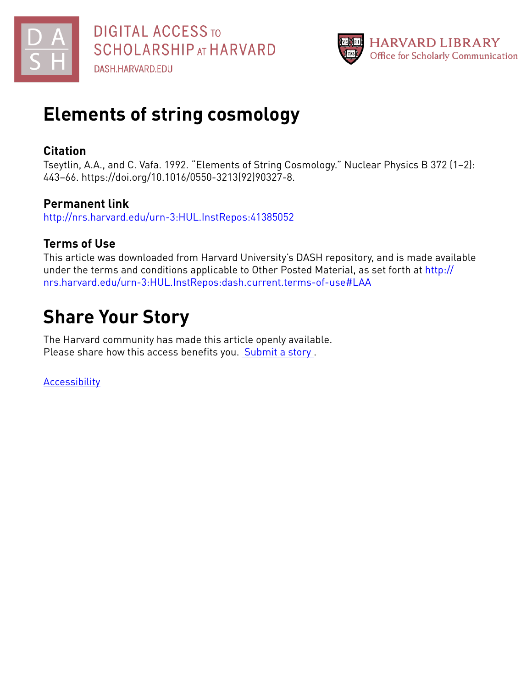



## **Elements of string cosmology**

## **Citation**

Tseytlin, A.A., and C. Vafa. 1992. "Elements of String Cosmology." Nuclear Physics B 372 (1–2): 443–66. https://doi.org/10.1016/0550-3213(92)90327-8.

### **Permanent link**

<http://nrs.harvard.edu/urn-3:HUL.InstRepos:41385052>

### **Terms of Use**

This article was downloaded from Harvard University's DASH repository, and is made available under the terms and conditions applicable to Other Posted Material, as set forth at [http://](http://nrs.harvard.edu/urn-3:HUL.InstRepos:dash.current.terms-of-use#LAA) [nrs.harvard.edu/urn-3:HUL.InstRepos:dash.current.terms-of-use#LAA](http://nrs.harvard.edu/urn-3:HUL.InstRepos:dash.current.terms-of-use#LAA)

# **Share Your Story**

The Harvard community has made this article openly available. Please share how this access benefits you. [Submit](http://osc.hul.harvard.edu/dash/open-access-feedback?handle=&title=Elements%20of%20string%20cosmology&community=1/1&collection=1/2&owningCollection1/2&harvardAuthors=8c851daf0a63d0f943fceaf3f5ae5ee4&department) a story .

**[Accessibility](https://dash.harvard.edu/pages/accessibility)**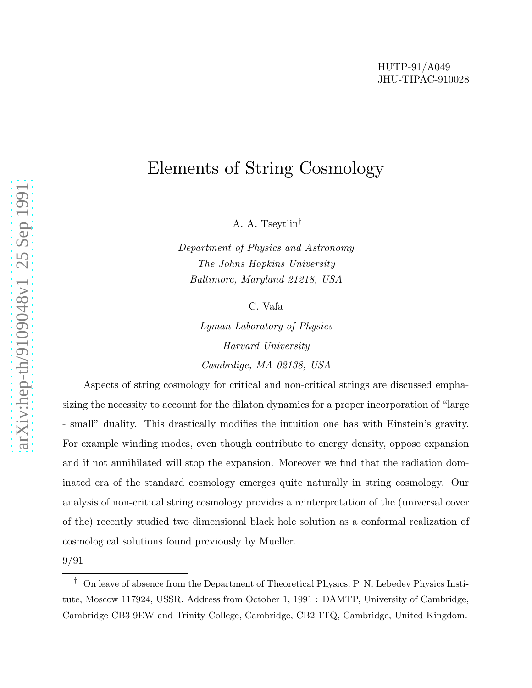## Elements of String Cosmology

A. A. Tseytlin †

Department of Physics and Astronomy The Johns Hopkins University Baltimore, Maryland 21218, USA

C. Vafa

Lyman Laboratory of Physics Harvard University Cambrdige, MA 02138, USA

Aspects of string cosmology for critical and non-critical strings are discussed emphasizing the necessity to account for the dilaton dynamics for a proper incorporation of "large - small" duality. This drastically modifies the intuition one has with Einstein's gravity. For example winding modes, even though contribute to energy density, oppose expansion and if not annihilated will stop the expansion. Moreover we find that the radiation dominated era of the standard cosmology emerges quite naturally in string cosmology. Our analysis of non-critical string cosmology provides a reinterpretation of the (universal cover of the) recently studied two dimensional black hole solution as a conformal realization of cosmological solutions found previously by Mueller.

9/91

<sup>†</sup> On leave of absence from the Department of Theoretical Physics, P. N. Lebedev Physics Institute, Moscow 117924, USSR. Address from October 1, 1991 : DAMTP, University of Cambridge, Cambridge CB3 9EW and Trinity College, Cambridge, CB2 1TQ, Cambridge, United Kingdom.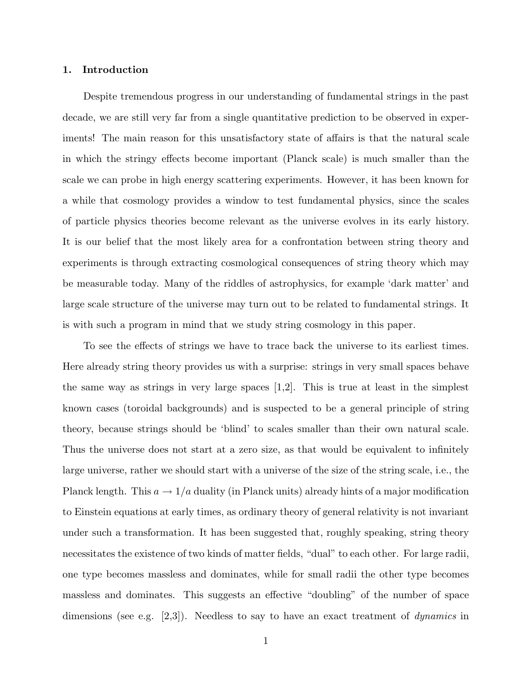#### 1. Introduction

Despite tremendous progress in our understanding of fundamental strings in the past decade, we are still very far from a single quantitative prediction to be observed in experiments! The main reason for this unsatisfactory state of affairs is that the natural scale in which the stringy effects become important (Planck scale) is much smaller than the scale we can probe in high energy scattering experiments. However, it has been known for a while that cosmology provides a window to test fundamental physics, since the scales of particle physics theories become relevant as the universe evolves in its early history. It is our belief that the most likely area for a confrontation between string theory and experiments is through extracting cosmological consequences of string theory which may be measurable today. Many of the riddles of astrophysics, for example 'dark matter' and large scale structure of the universe may turn out to be related to fundamental strings. It is with such a program in mind that we study string cosmology in this paper.

To see the effects of strings we have to trace back the universe to its earliest times. Here already string theory provides us with a surprise: strings in very small spaces behave the same way as strings in very large spaces  $[1,2]$ . This is true at least in the simplest known cases (toroidal backgrounds) and is suspected to be a general principle of string theory, because strings should be 'blind' to scales smaller than their own natural scale. Thus the universe does not start at a zero size, as that would be equivalent to infinitely large universe, rather we should start with a universe of the size of the string scale, i.e., the Planck length. This  $a \to 1/a$  duality (in Planck units) already hints of a major modification to Einstein equations at early times, as ordinary theory of general relativity is not invariant under such a transformation. It has been suggested that, roughly speaking, string theory necessitates the existence of two kinds of matter fields, "dual" to each other. For large radii, one type becomes massless and dominates, while for small radii the other type becomes massless and dominates. This suggests an effective "doubling" of the number of space dimensions (see e.g.  $[2,3]$ ). Needless to say to have an exact treatment of *dynamics* in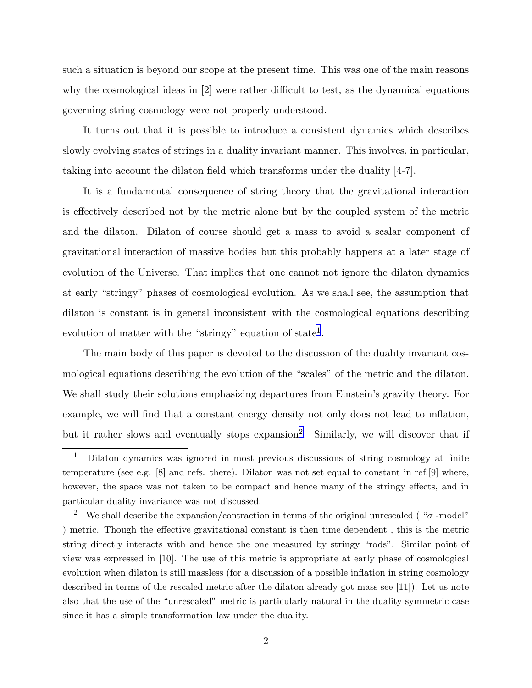such a situation is beyond our scope at the present time. This was one of the main reasons why the cosmological ideas in [2] were rather difficult to test, as the dynamical equations governing string cosmology were not properly understood.

It turns out that it is possible to introduce a consistent dynamics which describes slowly evolving states of strings in a duality invariant manner. This involves, in particular, taking into account the dilaton field which transforms under the duality [4-7].

It is a fundamental consequence of string theory that the gravitational interaction is effectively described not by the metric alone but by the coupled system of the metric and the dilaton. Dilaton of course should get a mass to avoid a scalar component of gravitational interaction of massive bodies but this probably happens at a later stage of evolution of the Universe. That implies that one cannot not ignore the dilaton dynamics at early "stringy" phases of cosmological evolution. As we shall see, the assumption that dilaton is constant is in general inconsistent with the cosmological equations describing evolution of matter with the "stringy" equation of state<sup>1</sup>.

The main body of this paper is devoted to the discussion of the duality invariant cosmological equations describing the evolution of the "scales" of the metric and the dilaton. We shall study their solutions emphasizing departures from Einstein's gravity theory. For example, we will find that a constant energy density not only does not lead to inflation, but it rather slows and eventually stops expansion<sup>2</sup>. Similarly, we will discover that if

<sup>&</sup>lt;sup>1</sup> Dilaton dynamics was ignored in most previous discussions of string cosmology at finite temperature (see e.g. [8] and refs. there). Dilaton was not set equal to constant in ref.[9] where, however, the space was not taken to be compact and hence many of the stringy effects, and in particular duality invariance was not discussed.

<sup>&</sup>lt;sup>2</sup> We shall describe the expansion/contraction in terms of the original unrescaled ( $\degree \sigma$ -model" ) metric. Though the effective gravitational constant is then time dependent , this is the metric string directly interacts with and hence the one measured by stringy "rods". Similar point of view was expressed in [10]. The use of this metric is appropriate at early phase of cosmological evolution when dilaton is still massless (for a discussion of a possible inflation in string cosmology described in terms of the rescaled metric after the dilaton already got mass see [11]). Let us note also that the use of the "unrescaled" metric is particularly natural in the duality symmetric case since it has a simple transformation law under the duality.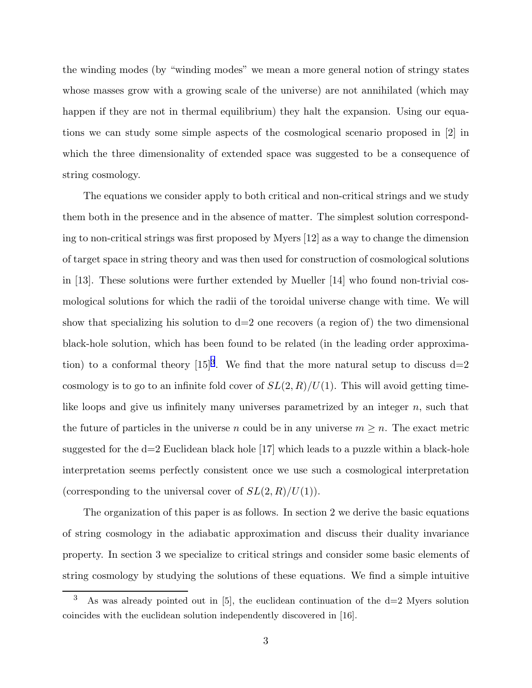the winding modes (by "winding modes" we mean a more general notion of stringy states whose masses grow with a growing scale of the universe) are not annihilated (which may happen if they are not in thermal equilibrium) they halt the expansion. Using our equations we can study some simple aspects of the cosmological scenario proposed in [2] in which the three dimensionality of extended space was suggested to be a consequence of string cosmology.

The equations we consider apply to both critical and non-critical strings and we study them both in the presence and in the absence of matter. The simplest solution corresponding to non-critical strings was first proposed by Myers [12] as a way to change the dimension of target space in string theory and was then used for construction of cosmological solutions in [13]. These solutions were further extended by Mueller [14] who found non-trivial cosmological solutions for which the radii of the toroidal universe change with time. We will show that specializing his solution to  $d=2$  one recovers (a region of) the two dimensional black-hole solution, which has been found to be related (in the leading order approximation) to a conformal theory  $[15]^3$ . We find that the more natural setup to discuss  $d=2$ cosmology is to go to an infinite fold cover of  $SL(2, R)/U(1)$ . This will avoid getting timelike loops and give us infinitely many universes parametrized by an integer  $n$ , such that the future of particles in the universe n could be in any universe  $m \geq n$ . The exact metric suggested for the  $d=2$  Euclidean black hole [17] which leads to a puzzle within a black-hole interpretation seems perfectly consistent once we use such a cosmological interpretation (corresponding to the universal cover of  $SL(2, R)/U(1)$ ).

The organization of this paper is as follows. In section 2 we derive the basic equations of string cosmology in the adiabatic approximation and discuss their duality invariance property. In section 3 we specialize to critical strings and consider some basic elements of string cosmology by studying the solutions of these equations. We find a simple intuitive

<sup>&</sup>lt;sup>3</sup> As was already pointed out in [5], the euclidean continuation of the  $d=2$  Myers solution coincides with the euclidean solution independently discovered in [16].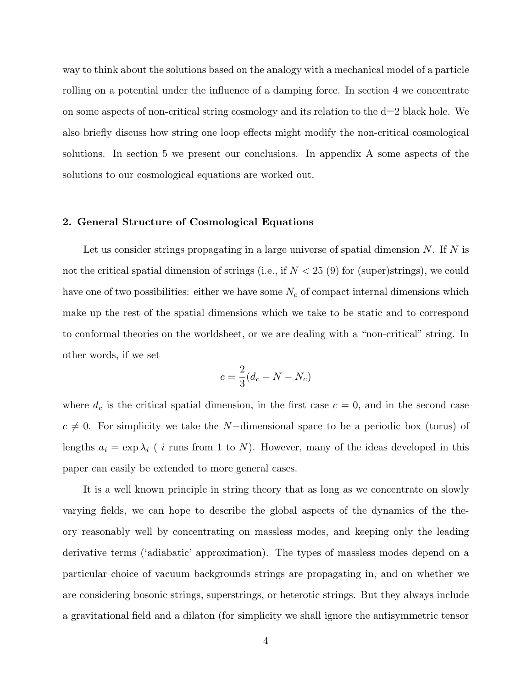way to think about the solutions based on the analogy with a mechanical model of a particle rolling on a potential under the influence of a damping force. In section 4 we concentrate on some aspects of non-critical string cosmology and its relation to the  $d=2$  black hole. We also briefly discuss how string one loop effects might modify the non-critical cosmological solutions. In section 5 we present our conclusions. In appendix A some aspects of the solutions to our cosmological equations are worked out.

#### 2. General Structure of Cosmological Equations

Let us consider strings propagating in a large universe of spatial dimension N. If N is not the critical spatial dimension of strings (i.e., if  $N < 25$  (9) for (super)strings), we could have one of two possibilities: either we have some  $N_c$  of compact internal dimensions which make up the rest of the spatial dimensions which we take to be static and to correspond to conformal theories on the worldsheet, or we are dealing with a "non-critical" string. In other words, if we set

$$
c = \frac{2}{3}(d_c - N - N_c)
$$

where  $d_c$  is the critical spatial dimension, in the first case  $c = 0$ , and in the second case  $c \neq 0$ . For simplicity we take the N-dimensional space to be a periodic box (torus) of lengths  $a_i = \exp \lambda_i$  ( i runs from 1 to N). However, many of the ideas developed in this paper can easily be extended to more general cases.

It is a well known principle in string theory that as long as we concentrate on slowly varying fields, we can hope to describe the global aspects of the dynamics of the theory reasonably well by concentrating on massless modes, and keeping only the leading derivative terms ('adiabatic' approximation). The types of massless modes depend on a particular choice of vacuum backgrounds strings are propagating in, and on whether we are considering bosonic strings, superstrings, or heterotic strings. But they always include a gravitational field and a dilaton (for simplicity we shall ignore the antisymmetric tensor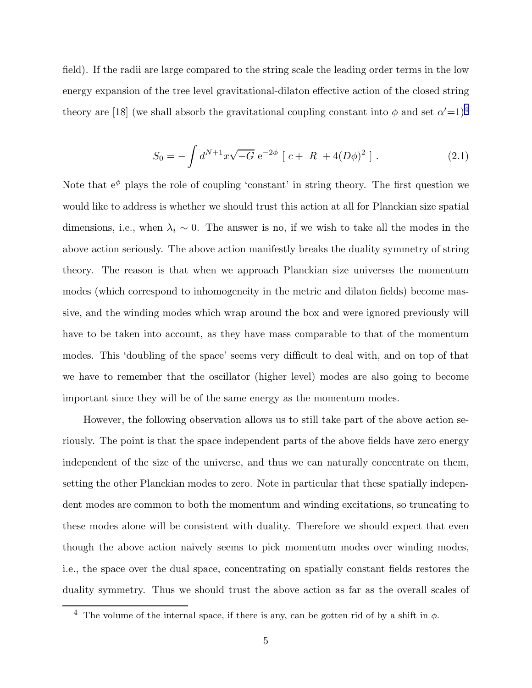field). If the radii are large compared to the string scale the leading order terms in the low energy expansion of the tree level gravitational-dilaton effective action of the closed string theory are [18] (we shall absorb the gravitational coupling constant into  $\phi$  and set  $\alpha' = 1$ )<sup>4</sup>

$$
S_0 = -\int d^{N+1}x \sqrt{-G} \,\mathrm{e}^{-2\phi} \left[ \, c + \, R \, + 4(D\phi)^2 \, \right] \,. \tag{2.1}
$$

Note that  $e^{\phi}$  plays the role of coupling 'constant' in string theory. The first question we would like to address is whether we should trust this action at all for Planckian size spatial dimensions, i.e., when  $\lambda_i \sim 0$ . The answer is no, if we wish to take all the modes in the above action seriously. The above action manifestly breaks the duality symmetry of string theory. The reason is that when we approach Planckian size universes the momentum modes (which correspond to inhomogeneity in the metric and dilaton fields) become massive, and the winding modes which wrap around the box and were ignored previously will have to be taken into account, as they have mass comparable to that of the momentum modes. This 'doubling of the space' seems very difficult to deal with, and on top of that we have to remember that the oscillator (higher level) modes are also going to become important since they will be of the same energy as the momentum modes.

However, the following observation allows us to still take part of the above action seriously. The point is that the space independent parts of the above fields have zero energy independent of the size of the universe, and thus we can naturally concentrate on them, setting the other Planckian modes to zero. Note in particular that these spatially independent modes are common to both the momentum and winding excitations, so truncating to these modes alone will be consistent with duality. Therefore we should expect that even though the above action naively seems to pick momentum modes over winding modes, i.e., the space over the dual space, concentrating on spatially constant fields restores the duality symmetry. Thus we should trust the above action as far as the overall scales of

<sup>&</sup>lt;sup>4</sup> The volume of the internal space, if there is any, can be gotten rid of by a shift in  $\phi$ .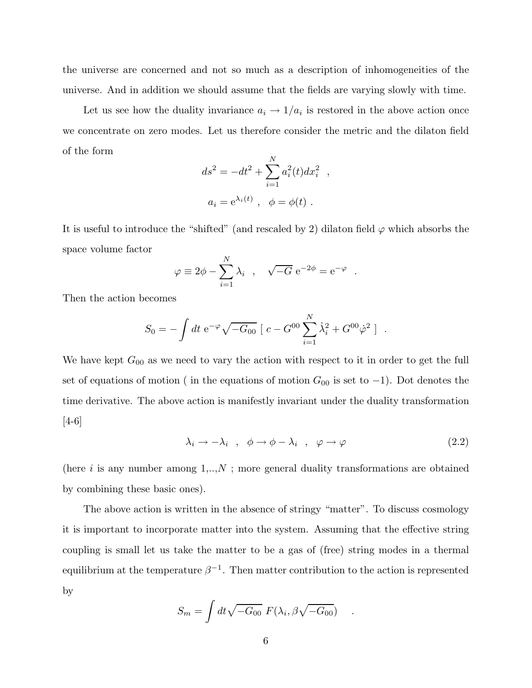the universe are concerned and not so much as a description of inhomogeneities of the universe. And in addition we should assume that the fields are varying slowly with time.

Let us see how the duality invariance  $a_i \to 1/a_i$  is restored in the above action once we concentrate on zero modes. Let us therefore consider the metric and the dilaton field of the form

$$
ds2 = -dt2 + \sum_{i=1}^{N} ai2(t) dxi2
$$

$$
ai = e\lambdai(t) , \phi = \phi(t) .
$$

It is useful to introduce the "shifted" (and rescaled by 2) dilaton field  $\varphi$  which absorbs the space volume factor

$$
\varphi \equiv 2\phi - \sum_{i=1}^{N} \lambda_i \ \ , \quad \sqrt{-G} \ e^{-2\phi} = e^{-\varphi}
$$

Then the action becomes

$$
S_0 = -\int dt \; e^{-\varphi} \sqrt{-G_{00}} \; [c - G^{00} \sum_{i=1}^N \dot{\lambda}_i^2 + G^{00} \dot{\varphi}^2] \; .
$$

We have kept  $G_{00}$  as we need to vary the action with respect to it in order to get the full set of equations of motion ( in the equations of motion  $G_{00}$  is set to  $-1$ ). Dot denotes the time derivative. The above action is manifestly invariant under the duality transformation  $|4-6|$ 

$$
\lambda_i \to -\lambda_i \quad , \quad \phi \to \phi - \lambda_i \quad , \quad \varphi \to \varphi \tag{2.2}
$$

,

.

(here i is any number among  $1,..,N$ ; more general duality transformations are obtained by combining these basic ones).

The above action is written in the absence of stringy "matter". To discuss cosmology it is important to incorporate matter into the system. Assuming that the effective string coupling is small let us take the matter to be a gas of (free) string modes in a thermal equilibrium at the temperature  $\beta^{-1}$ . Then matter contribution to the action is represented by

$$
S_m = \int dt \sqrt{-G_{00}} F(\lambda_i, \beta \sqrt{-G_{00}}) .
$$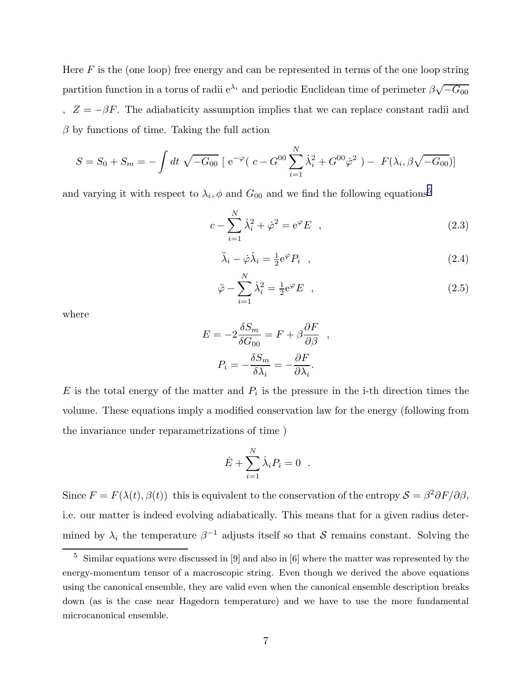<span id="page-8-0"></span>Here  $F$  is the (one loop) free energy and can be represented in terms of the one loop string partition function in a torus of radii  $e^{\lambda_i}$  and periodic Euclidean time of perimeter  $\beta\sqrt{-G_{00}}$ ,  $Z = -\beta F$ . The adiabaticity assumption implies that we can replace constant radii and  $\beta$  by functions of time. Taking the full action

$$
S = S_0 + S_m = -\int dt \sqrt{-G_{00}} [e^{-\varphi} (c - G^{00} \sum_{i=1}^N \dot{\lambda}_i^2 + G^{00} \dot{\varphi}^2) - F(\lambda_i, \beta \sqrt{-G_{00}})]
$$

and varying it with respect to  $\lambda_i$ ,  $\phi$  and  $G_{00}$  and we find the following equations<sup>5</sup>

$$
c - \sum_{i=1}^{N} \dot{\lambda}_i^2 + \dot{\varphi}^2 = e^{\varphi} E \quad , \tag{2.3}
$$

$$
\ddot{\lambda}_i - \dot{\varphi} \dot{\lambda}_i = \frac{1}{2} e^{\varphi} P_i \quad , \tag{2.4}
$$

$$
\ddot{\varphi} - \sum_{i=1}^{N} \dot{\lambda}_i^2 = \frac{1}{2} e^{\varphi} E \quad , \tag{2.5}
$$

where

$$
E = -2\frac{\delta S_m}{\delta G_{00}} = F + \beta \frac{\partial F}{\partial \beta} ,
$$

$$
P_i = -\frac{\delta S_m}{\delta \lambda_i} = -\frac{\partial F}{\partial \lambda_i}.
$$

 $E$  is the total energy of the matter and  $P_i$  is the pressure in the i-th direction times the volume. These equations imply a modified conservation law for the energy (following from the invariance under reparametrizations of time )

$$
\dot{E} + \sum_{i=1}^N \dot{\lambda}_i P_i = 0 .
$$

Since  $F = F(\lambda(t), \beta(t))$  this is equivalent to the conservation of the entropy  $S = \beta^2 \partial F/\partial \beta$ , i.e. our matter is indeed evolving adiabatically. This means that for a given radius determined by  $\lambda_i$  the temperature  $\beta^{-1}$  adjusts itself so that S remains constant. Solving the

 $5$  Similar equations were discussed in [9] and also in [6] where the matter was represented by the energy-momentum tensor of a macroscopic string. Even though we derived the above equations using the canonical ensemble, they are valid even when the canonical ensemble description breaks down (as is the case near Hagedorn temperature) and we have to use the more fundamental microcanonical ensemble.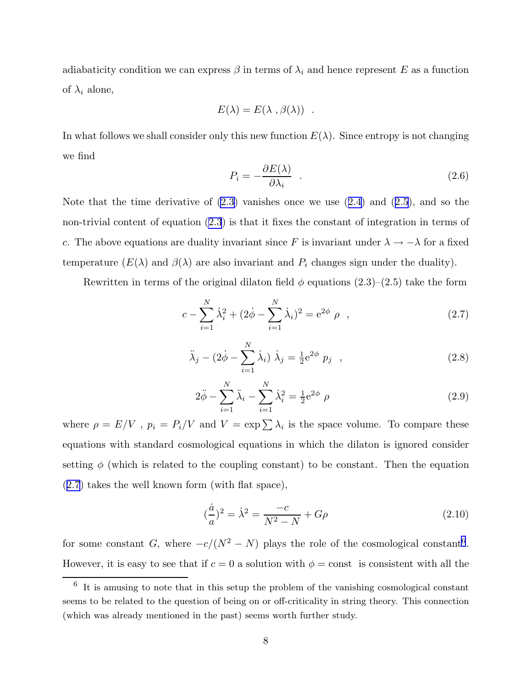adiabaticity condition we can express  $\beta$  in terms of  $\lambda_i$  and hence represent E as a function of  $\lambda_i$  alone,

$$
E(\lambda) = E(\lambda, \beta(\lambda)) .
$$

In what follows we shall consider only this new function  $E(\lambda)$ . Since entropy is not changing we find

$$
P_i = -\frac{\partial E(\lambda)}{\partial \lambda_i} \quad . \tag{2.6}
$$

Note that the time derivative of  $(2.3)$  vanishes once we use  $(2.4)$  $(2.4)$  $(2.4)$  and  $(2.5)$  $(2.5)$  $(2.5)$ , and so the non-trivial content of equation [\(2.3](#page-8-0)) is that it fixes the constant of integration in terms of c. The above equations are duality invariant since F is invariant under  $\lambda \to -\lambda$  for a fixed temperature  $(E(\lambda))$  and  $\beta(\lambda)$  are also invariant and  $P_i$  changes sign under the duality).

Rewritten in terms of the original dilaton field  $\phi$  equations (2.3)–(2.5) take the form

$$
c - \sum_{i=1}^{N} \dot{\lambda}_i^2 + (2\dot{\phi} - \sum_{i=1}^{N} \dot{\lambda}_i)^2 = e^{2\phi} \rho , \qquad (2.7)
$$

$$
\ddot{\lambda}_j - (2\dot{\phi} - \sum_{i=1}^N \dot{\lambda}_i) \dot{\lambda}_j = \frac{1}{2} e^{2\phi} p_j , \qquad (2.8)
$$

$$
2\ddot{\phi} - \sum_{i=1}^{N} \ddot{\lambda}_i - \sum_{i=1}^{N} \dot{\lambda}_i^2 = \frac{1}{2} e^{2\phi} \rho
$$
 (2.9)

where  $\rho = E/V$ ,  $p_i = P_i/V$  and  $V = \exp \sum \lambda_i$  is the space volume. To compare these equations with standard cosmological equations in which the dilaton is ignored consider setting  $\phi$  (which is related to the coupling constant) to be constant. Then the equation (2.7) takes the well known form (with flat space),

$$
(\frac{\dot{a}}{a})^2 = \dot{\lambda}^2 = \frac{-c}{N^2 - N} + G\rho
$$
\n(2.10)

for some constant G, where  $-c/(N^2 - N)$  plays the role of the cosmological constant<sup>6</sup>. However, it is easy to see that if  $c = 0$  a solution with  $\phi = \text{const}$  is consistent with all the

 $6\,$  It is amusing to note that in this setup the problem of the vanishing cosmological constant seems to be related to the question of being on or off-criticality in string theory. This connection (which was already mentioned in the past) seems worth further study.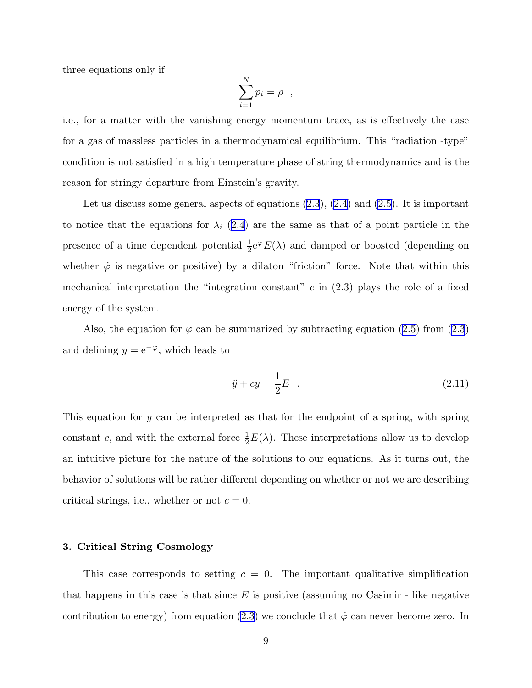<span id="page-10-0"></span>three equations only if

$$
\sum_{i=1}^N p_i = \rho \quad ,
$$

i.e., for a matter with the vanishing energy momentum trace, as is effectively the case for a gas of massless particles in a thermodynamical equilibrium. This "radiation -type" condition is not satisfied in a high temperature phase of string thermodynamics and is the reason for stringy departure from Einstein's gravity.

Let us discuss some general aspects of equations  $(2.3)$  $(2.3)$  $(2.3)$ ,  $(2.4)$  and  $(2.5)$ . It is important to notice that the equations for  $\lambda_i$  [\(2.4\)](#page-8-0) are the same as that of a point particle in the presence of a time dependent potential  $\frac{1}{2}e^{\varphi}E(\lambda)$  and damped or boosted (depending on whether  $\dot{\varphi}$  is negative or positive) by a dilaton "friction" force. Note that within this mechanical interpretation the "integration constant" c in  $(2.3)$  plays the role of a fixed energy of the system.

Also, the equation for  $\varphi$  can be summarized by subtracting equation [\(2.5\)](#page-8-0) from [\(2.3](#page-8-0)) and defining  $y = e^{-\varphi}$ , which leads to

$$
\ddot{y} + cy = \frac{1}{2}E \quad . \tag{2.11}
$$

This equation for y can be interpreted as that for the endpoint of a spring, with spring constant c, and with the external force  $\frac{1}{2}E(\lambda)$ . These interpretations allow us to develop an intuitive picture for the nature of the solutions to our equations. As it turns out, the behavior of solutions will be rather different depending on whether or not we are describing critical strings, i.e., whether or not  $c = 0$ .

#### 3. Critical String Cosmology

This case corresponds to setting  $c = 0$ . The important qualitative simplification that happens in this case is that since  $E$  is positive (assuming no Casimir - like negative contribution to energy) from equation [\(2.3\)](#page-8-0) we conclude that  $\dot{\varphi}$  can never become zero. In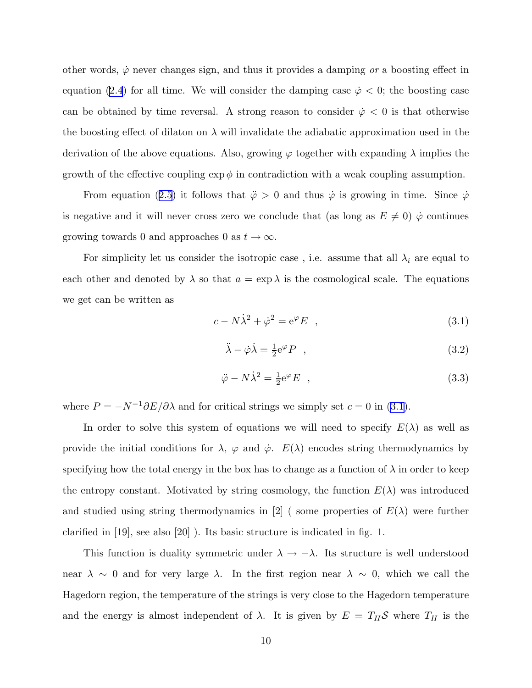<span id="page-11-0"></span>other words,  $\dot{\varphi}$  never changes sign, and thus it provides a damping or a boosting effect in equation [\(2.4](#page-8-0)) for all time. We will consider the damping case  $\dot{\varphi} < 0$ ; the boosting case can be obtained by time reversal. A strong reason to consider  $\dot{\varphi} < 0$  is that otherwise the boosting effect of dilaton on  $\lambda$  will invalidate the adiabatic approximation used in the derivation of the above equations. Also, growing  $\varphi$  together with expanding  $\lambda$  implies the growth of the effective coupling  $\exp \phi$  in contradiction with a weak coupling assumption.

From equation ([2.5](#page-8-0)) it follows that  $\ddot{\varphi} > 0$  and thus  $\dot{\varphi}$  is growing in time. Since  $\dot{\varphi}$ is negative and it will never cross zero we conclude that (as long as  $E \neq 0$ )  $\dot{\varphi}$  continues growing towards 0 and approaches 0 as  $t \to \infty$ .

For simplicity let us consider the isotropic case, i.e. assume that all  $\lambda_i$  are equal to each other and denoted by  $\lambda$  so that  $a = \exp \lambda$  is the cosmological scale. The equations we get can be written as

$$
c - N\dot{\lambda}^2 + \dot{\varphi}^2 = e^{\varphi} E \quad , \tag{3.1}
$$

$$
\ddot{\lambda} - \dot{\varphi}\dot{\lambda} = \frac{1}{2}e^{\varphi}P \quad , \tag{3.2}
$$

$$
\ddot{\varphi} - N\dot{\lambda}^2 = \frac{1}{2}e^{\varphi}E \quad , \tag{3.3}
$$

where  $P = -N^{-1}\partial E/\partial \lambda$  and for critical strings we simply set  $c = 0$  in (3.1).

In order to solve this system of equations we will need to specify  $E(\lambda)$  as well as provide the initial conditions for  $\lambda$ ,  $\varphi$  and  $\dot{\varphi}$ .  $E(\lambda)$  encodes string thermodynamics by specifying how the total energy in the box has to change as a function of  $\lambda$  in order to keep the entropy constant. Motivated by string cosmology, the function  $E(\lambda)$  was introduced and studied using string thermodynamics in [2] (some properties of  $E(\lambda)$ ) were further clarified in [19], see also [20] ). Its basic structure is indicated in fig. 1.

This function is duality symmetric under  $\lambda \to -\lambda$ . Its structure is well understood near  $\lambda \sim 0$  and for very large  $\lambda$ . In the first region near  $\lambda \sim 0$ , which we call the Hagedorn region, the temperature of the strings is very close to the Hagedorn temperature and the energy is almost independent of  $\lambda$ . It is given by  $E = T_H \mathcal{S}$  where  $T_H$  is the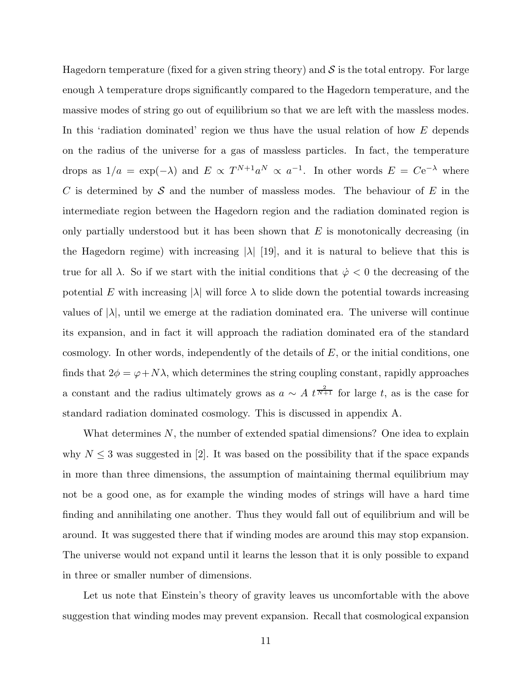Hagedorn temperature (fixed for a given string theory) and  $\mathcal S$  is the total entropy. For large enough  $\lambda$  temperature drops significantly compared to the Hagedorn temperature, and the massive modes of string go out of equilibrium so that we are left with the massless modes. In this 'radiation dominated' region we thus have the usual relation of how E depends on the radius of the universe for a gas of massless particles. In fact, the temperature drops as  $1/a = \exp(-\lambda)$  and  $E \propto T^{N+1}a^N \propto a^{-1}$ . In other words  $E = Ce^{-\lambda}$  where C is determined by S and the number of massless modes. The behaviour of E in the intermediate region between the Hagedorn region and the radiation dominated region is only partially understood but it has been shown that  $E$  is monotonically decreasing (in the Hagedorn regime) with increasing  $|\lambda|$  [19], and it is natural to believe that this is true for all  $\lambda$ . So if we start with the initial conditions that  $\dot{\varphi} < 0$  the decreasing of the potential E with increasing  $|\lambda|$  will force  $\lambda$  to slide down the potential towards increasing values of  $|\lambda|$ , until we emerge at the radiation dominated era. The universe will continue its expansion, and in fact it will approach the radiation dominated era of the standard cosmology. In other words, independently of the details of  $E$ , or the initial conditions, one finds that  $2\phi = \varphi + N\lambda$ , which determines the string coupling constant, rapidly approaches a constant and the radius ultimately grows as  $a \sim A t^{\frac{2}{N+1}}$  for large t, as is the case for standard radiation dominated cosmology. This is discussed in appendix A.

What determines N, the number of extended spatial dimensions? One idea to explain why  $N \leq 3$  was suggested in [2]. It was based on the possibility that if the space expands in more than three dimensions, the assumption of maintaining thermal equilibrium may not be a good one, as for example the winding modes of strings will have a hard time finding and annihilating one another. Thus they would fall out of equilibrium and will be around. It was suggested there that if winding modes are around this may stop expansion. The universe would not expand until it learns the lesson that it is only possible to expand in three or smaller number of dimensions.

Let us note that Einstein's theory of gravity leaves us uncomfortable with the above suggestion that winding modes may prevent expansion. Recall that cosmological expansion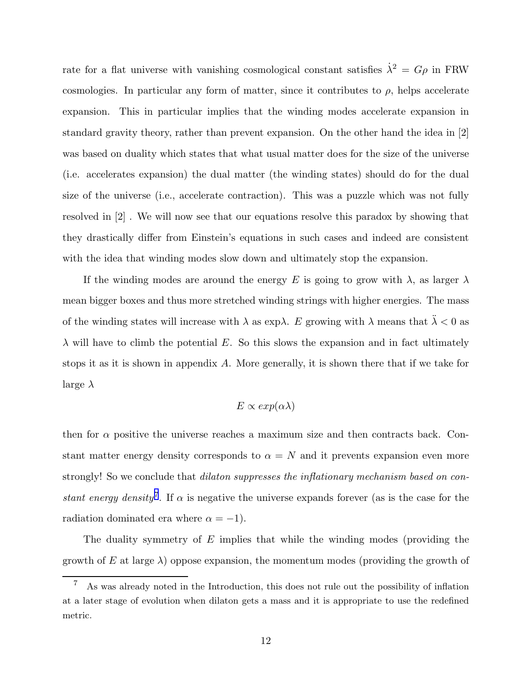rate for a flat universe with vanishing cosmological constant satisfies  $\dot{\lambda}^2 = G\rho$  in FRW cosmologies. In particular any form of matter, since it contributes to  $\rho$ , helps accelerate expansion. This in particular implies that the winding modes accelerate expansion in standard gravity theory, rather than prevent expansion. On the other hand the idea in [2] was based on duality which states that what usual matter does for the size of the universe (i.e. accelerates expansion) the dual matter (the winding states) should do for the dual size of the universe (i.e., accelerate contraction). This was a puzzle which was not fully resolved in [2] . We will now see that our equations resolve this paradox by showing that they drastically differ from Einstein's equations in such cases and indeed are consistent with the idea that winding modes slow down and ultimately stop the expansion.

If the winding modes are around the energy E is going to grow with  $\lambda$ , as larger  $\lambda$ mean bigger boxes and thus more stretched winding strings with higher energies. The mass of the winding states will increase with  $\lambda$  as exp $\lambda$ . E growing with  $\lambda$  means that  $\lambda$  < 0 as  $\lambda$  will have to climb the potential E. So this slows the expansion and in fact ultimately stops it as it is shown in appendix A. More generally, it is shown there that if we take for large  $\lambda$ 

$$
E \propto exp(\alpha \lambda)
$$

then for  $\alpha$  positive the universe reaches a maximum size and then contracts back. Constant matter energy density corresponds to  $\alpha = N$  and it prevents expansion even more strongly! So we conclude that dilaton suppresses the inflationary mechanism based on constant energy density<sup>7</sup>. If  $\alpha$  is negative the universe expands forever (as is the case for the radiation dominated era where  $\alpha = -1$ ).

The duality symmetry of  $E$  implies that while the winding modes (providing the growth of E at large  $\lambda$ ) oppose expansion, the momentum modes (providing the growth of

<sup>7</sup> As was already noted in the Introduction, this does not rule out the possibility of inflation at a later stage of evolution when dilaton gets a mass and it is appropriate to use the redefined metric.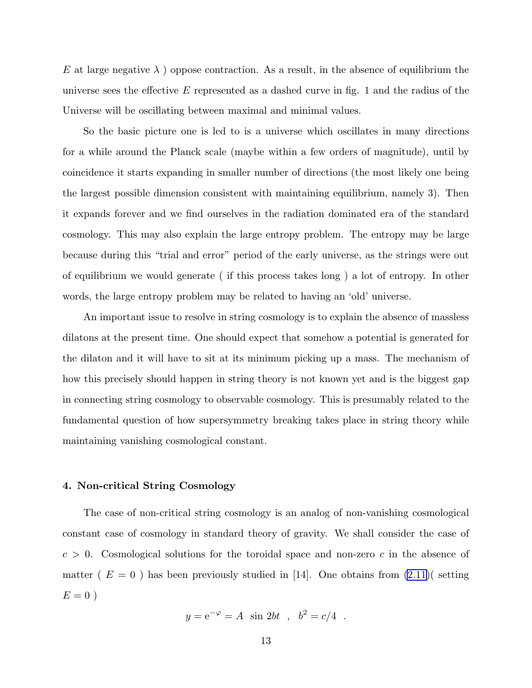E at large negative  $\lambda$ ) oppose contraction. As a result, in the absence of equilibrium the universe sees the effective  $E$  represented as a dashed curve in fig. 1 and the radius of the Universe will be oscillating between maximal and minimal values.

So the basic picture one is led to is a universe which oscillates in many directions for a while around the Planck scale (maybe within a few orders of magnitude), until by coincidence it starts expanding in smaller number of directions (the most likely one being the largest possible dimension consistent with maintaining equilibrium, namely 3). Then it expands forever and we find ourselves in the radiation dominated era of the standard cosmology. This may also explain the large entropy problem. The entropy may be large because during this "trial and error" period of the early universe, as the strings were out of equilibrium we would generate ( if this process takes long ) a lot of entropy. In other words, the large entropy problem may be related to having an 'old' universe.

An important issue to resolve in string cosmology is to explain the absence of massless dilatons at the present time. One should expect that somehow a potential is generated for the dilaton and it will have to sit at its minimum picking up a mass. The mechanism of how this precisely should happen in string theory is not known yet and is the biggest gap in connecting string cosmology to observable cosmology. This is presumably related to the fundamental question of how supersymmetry breaking takes place in string theory while maintaining vanishing cosmological constant.

#### 4. Non-critical String Cosmology

The case of non-critical string cosmology is an analog of non-vanishing cosmological constant case of cosmology in standard theory of gravity. We shall consider the case of  $c > 0$ . Cosmological solutions for the toroidal space and non-zero c in the absence of matter ( $E = 0$ ) has been previously studied in [14]. One obtains from  $(2.11)$  (setting  $E=0$ )

$$
y = e^{-\varphi} = A \sin 2bt
$$
,  $b^2 = c/4$ .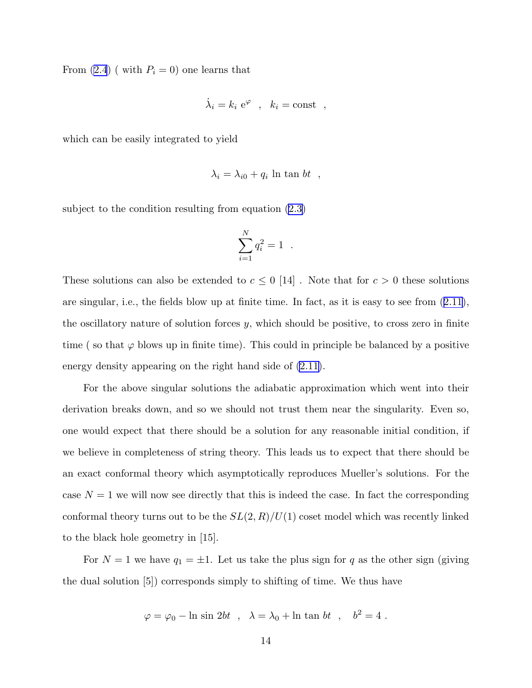From  $(2.4)$  $(2.4)$  (with  $P_i = 0$ ) one learns that

$$
\dot{\lambda}_i = k_i e^{\varphi} , k_i = \text{const} ,
$$

which can be easily integrated to yield

$$
\lambda_i = \lambda_{i0} + q_i \ln \tan bt \quad ,
$$

subject to the condition resulting from equation [\(2.3\)](#page-8-0)

$$
\sum_{i=1}^N q_i^2 = 1
$$

These solutions can also be extended to  $c \leq 0$  [14]. Note that for  $c > 0$  these solutions are singular, i.e., the fields blow up at finite time. In fact, as it is easy to see from ([2.11](#page-10-0)), the oscillatory nature of solution forces  $y$ , which should be positive, to cross zero in finite time (so that  $\varphi$  blows up in finite time). This could in principle be balanced by a positive energy density appearing on the right hand side of [\(2.11\)](#page-10-0).

For the above singular solutions the adiabatic approximation which went into their derivation breaks down, and so we should not trust them near the singularity. Even so, one would expect that there should be a solution for any reasonable initial condition, if we believe in completeness of string theory. This leads us to expect that there should be an exact conformal theory which asymptotically reproduces Mueller's solutions. For the case  $N = 1$  we will now see directly that this is indeed the case. In fact the corresponding conformal theory turns out to be the  $SL(2, R)/U(1)$  coset model which was recently linked to the black hole geometry in [15].

For  $N = 1$  we have  $q_1 = \pm 1$ . Let us take the plus sign for q as the other sign (giving the dual solution [5]) corresponds simply to shifting of time. We thus have

$$
\varphi = \varphi_0 - \ln \sin 2bt \quad , \quad \lambda = \lambda_0 + \ln \tan bt \quad , \quad b^2 = 4 \; .
$$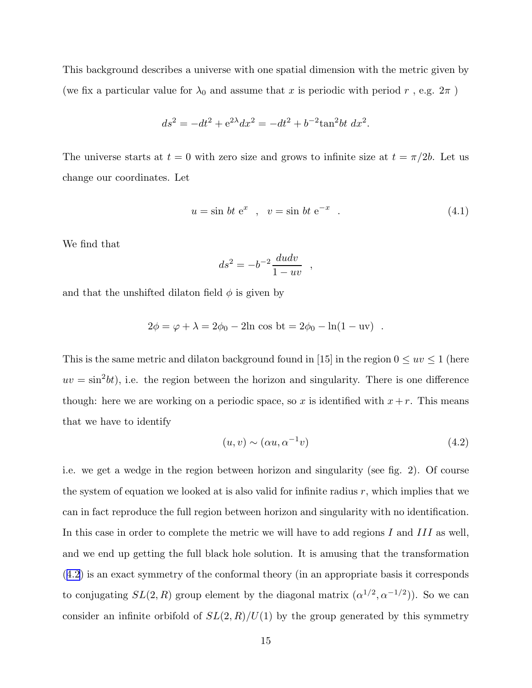This background describes a universe with one spatial dimension with the metric given by (we fix a particular value for  $\lambda_0$  and assume that x is periodic with period r, e.g.  $2\pi$ )

$$
ds^{2} = -dt^{2} + e^{2\lambda} dx^{2} = -dt^{2} + b^{-2} \tan^{2} bt \ dx^{2}.
$$

The universe starts at  $t = 0$  with zero size and grows to infinite size at  $t = \pi/2b$ . Let us change our coordinates. Let

$$
u = \sin bt e^x , v = \sin bt e^{-x} . \tag{4.1}
$$

We find that

$$
ds^2 = -b^{-2} \frac{du dv}{1 - uv} ,
$$

and that the unshifted dilaton field  $\phi$  is given by

$$
2\phi = \varphi + \lambda = 2\phi_0 - 2\ln \cos bt = 2\phi_0 - \ln(1 - uv) .
$$

This is the same metric and dilaton background found in [15] in the region  $0 \le uv \le 1$  (here  $uv = \sin^2 bt$ , i.e. the region between the horizon and singularity. There is one difference though: here we are working on a periodic space, so x is identified with  $x + r$ . This means that we have to identify

$$
(u, v) \sim (\alpha u, \alpha^{-1} v) \tag{4.2}
$$

i.e. we get a wedge in the region between horizon and singularity (see fig. 2). Of course the system of equation we looked at is also valid for infinite radius  $r$ , which implies that we can in fact reproduce the full region between horizon and singularity with no identification. In this case in order to complete the metric we will have to add regions I and III as well, and we end up getting the full black hole solution. It is amusing that the transformation (4.2) is an exact symmetry of the conformal theory (in an appropriate basis it corresponds to conjugating  $SL(2, R)$  group element by the diagonal matrix  $(\alpha^{1/2}, \alpha^{-1/2})$ ). So we can consider an infinite orbifold of  $SL(2, R)/U(1)$  by the group generated by this symmetry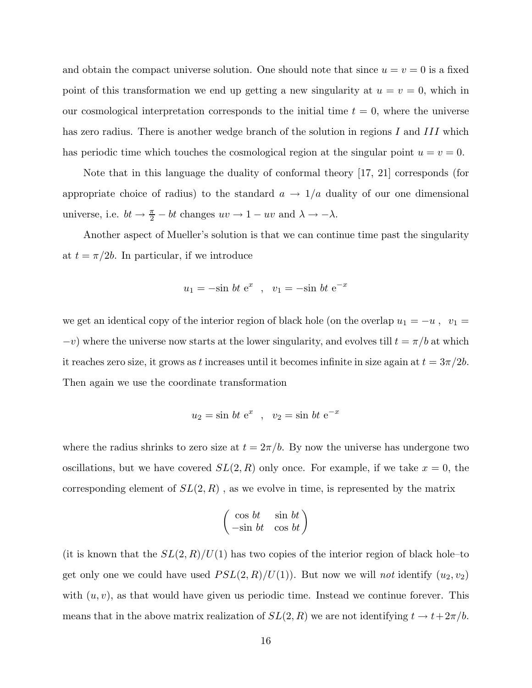and obtain the compact universe solution. One should note that since  $u = v = 0$  is a fixed point of this transformation we end up getting a new singularity at  $u = v = 0$ , which in our cosmological interpretation corresponds to the initial time  $t = 0$ , where the universe has zero radius. There is another wedge branch of the solution in regions I and III which has periodic time which touches the cosmological region at the singular point  $u = v = 0$ .

Note that in this language the duality of conformal theory [17, 21] corresponds (for appropriate choice of radius) to the standard  $a \to 1/a$  duality of our one dimensional universe, i.e.  $bt \to \frac{\pi}{2} - bt$  changes  $uv \to 1 - uv$  and  $\lambda \to -\lambda$ .

Another aspect of Mueller's solution is that we can continue time past the singularity at  $t = \pi/2b$ . In particular, if we introduce

$$
u_1 = -\sin bt e^x
$$
,  $v_1 = -\sin bt e^{-x}$ 

we get an identical copy of the interior region of black hole (on the overlap  $u_1 = -u$ ,  $v_1 =$ −v) where the universe now starts at the lower singularity, and evolves till  $t = \pi/b$  at which it reaches zero size, it grows as t increases until it becomes infinite in size again at  $t = 3\pi/2b$ . Then again we use the coordinate transformation

$$
u_2 = \sin bt e^x , v_2 = \sin bt e^{-x}
$$

where the radius shrinks to zero size at  $t = 2\pi/b$ . By now the universe has undergone two oscillations, but we have covered  $SL(2, R)$  only once. For example, if we take  $x = 0$ , the corresponding element of  $SL(2, R)$ , as we evolve in time, is represented by the matrix

$$
\begin{pmatrix}\n\cos bt & \sin bt \\
-\sin bt & \cos bt\n\end{pmatrix}
$$

(it is known that the  $SL(2, R)/U(1)$  has two copies of the interior region of black hole–to get only one we could have used  $PSL(2, R)/U(1)$ ). But now we will not identify  $(u_2, v_2)$ with  $(u, v)$ , as that would have given us periodic time. Instead we continue forever. This means that in the above matrix realization of  $SL(2, R)$  we are not identifying  $t \to t + 2\pi/b$ .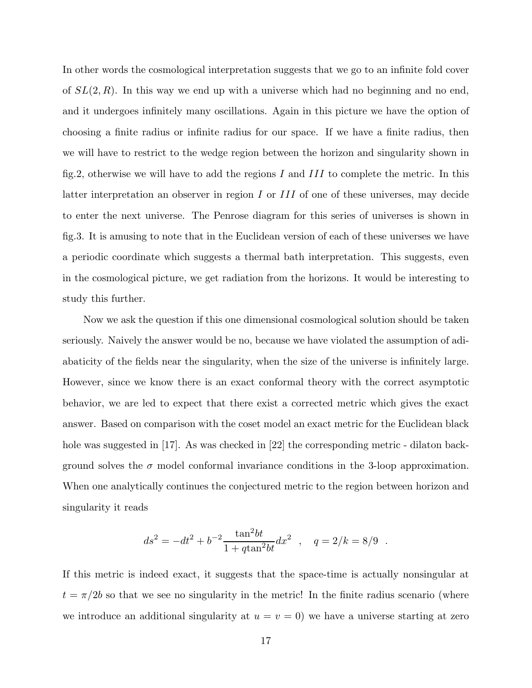In other words the cosmological interpretation suggests that we go to an infinite fold cover of  $SL(2, R)$ . In this way we end up with a universe which had no beginning and no end, and it undergoes infinitely many oscillations. Again in this picture we have the option of choosing a finite radius or infinite radius for our space. If we have a finite radius, then we will have to restrict to the wedge region between the horizon and singularity shown in fig.2, otherwise we will have to add the regions I and III to complete the metric. In this latter interpretation an observer in region I or III of one of these universes, may decide to enter the next universe. The Penrose diagram for this series of universes is shown in fig.3. It is amusing to note that in the Euclidean version of each of these universes we have a periodic coordinate which suggests a thermal bath interpretation. This suggests, even in the cosmological picture, we get radiation from the horizons. It would be interesting to study this further.

Now we ask the question if this one dimensional cosmological solution should be taken seriously. Naively the answer would be no, because we have violated the assumption of adiabaticity of the fields near the singularity, when the size of the universe is infinitely large. However, since we know there is an exact conformal theory with the correct asymptotic behavior, we are led to expect that there exist a corrected metric which gives the exact answer. Based on comparison with the coset model an exact metric for the Euclidean black hole was suggested in [17]. As was checked in [22] the corresponding metric - dilaton background solves the  $\sigma$  model conformal invariance conditions in the 3-loop approximation. When one analytically continues the conjectured metric to the region between horizon and singularity it reads

$$
ds^{2} = -dt^{2} + b^{-2} \frac{\tan^{2}bt}{1 + q \tan^{2}bt} dx^{2} , \quad q = 2/k = 8/9 .
$$

If this metric is indeed exact, it suggests that the space-time is actually nonsingular at  $t = \pi/2b$  so that we see no singularity in the metric! In the finite radius scenario (where we introduce an additional singularity at  $u = v = 0$ ) we have a universe starting at zero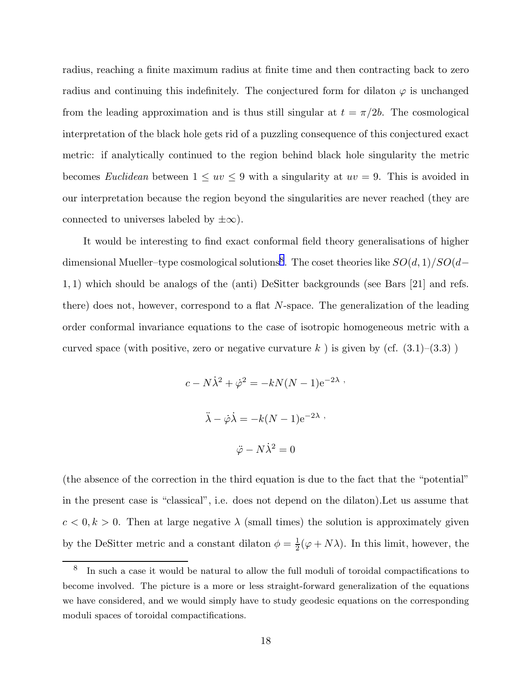radius, reaching a finite maximum radius at finite time and then contracting back to zero radius and continuing this indefinitely. The conjectured form for dilaton  $\varphi$  is unchanged from the leading approximation and is thus still singular at  $t = \pi/2b$ . The cosmological interpretation of the black hole gets rid of a puzzling consequence of this conjectured exact metric: if analytically continued to the region behind black hole singularity the metric becomes Euclidean between  $1 \leq uv \leq 9$  with a singularity at  $uv = 9$ . This is avoided in our interpretation because the region beyond the singularities are never reached (they are connected to universes labeled by  $\pm \infty$ ).

It would be interesting to find exact conformal field theory generalisations of higher dimensional Mueller–type cosmological solutions<sup>8</sup>. The coset theories like  $SO(d,1)/SO(d-$ 1, 1) which should be analogs of the (anti) DeSitter backgrounds (see Bars [21] and refs. there) does not, however, correspond to a flat N-space. The generalization of the leading order conformal invariance equations to the case of isotropic homogeneous metric with a curved space (with positive, zero or negative curvature k ) is given by (cf.  $(3.1)$ – $(3.3)$ )

$$
c - N\dot{\lambda}^{2} + \dot{\varphi}^{2} = -kN(N-1)e^{-2\lambda},
$$

$$
\ddot{\lambda} - \dot{\varphi}\dot{\lambda} = -k(N-1)e^{-2\lambda},
$$

$$
\ddot{\varphi} - N\dot{\lambda}^{2} = 0
$$

(the absence of the correction in the third equation is due to the fact that the "potential" in the present case is "classical", i.e. does not depend on the dilaton).Let us assume that  $c < 0, k > 0$ . Then at large negative  $\lambda$  (small times) the solution is approximately given by the DeSitter metric and a constant dilaton  $\phi = \frac{1}{2}$  $\frac{1}{2}(\varphi + N\lambda)$ . In this limit, however, the

<sup>8</sup> In such a case it would be natural to allow the full moduli of toroidal compactifications to become involved. The picture is a more or less straight-forward generalization of the equations we have considered, and we would simply have to study geodesic equations on the corresponding moduli spaces of toroidal compactifications.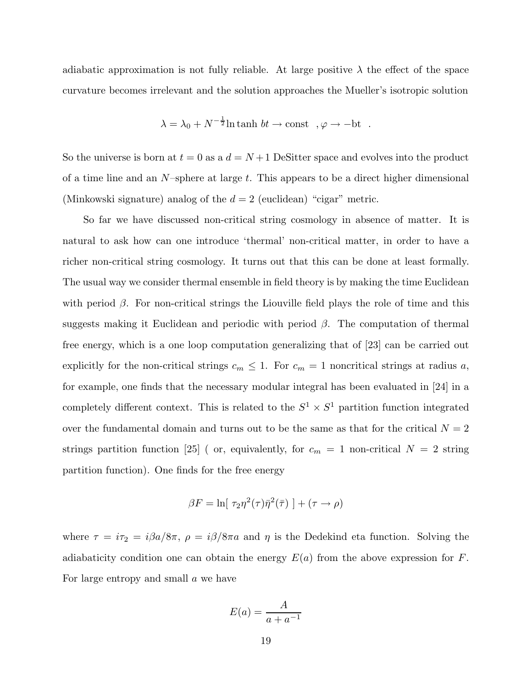adiabatic approximation is not fully reliable. At large positive  $\lambda$  the effect of the space curvature becomes irrelevant and the solution approaches the Mueller's isotropic solution

$$
\lambda = \lambda_0 + N^{-\frac{1}{2}} \ln \tanh bt \to \text{const} \quad , \varphi \to -bt \quad .
$$

So the universe is born at  $t = 0$  as a  $d = N + 1$  DeSitter space and evolves into the product of a time line and an  $N$ –sphere at large  $t$ . This appears to be a direct higher dimensional (Minkowski signature) analog of the  $d = 2$  (euclidean) "cigar" metric.

So far we have discussed non-critical string cosmology in absence of matter. It is natural to ask how can one introduce 'thermal' non-critical matter, in order to have a richer non-critical string cosmology. It turns out that this can be done at least formally. The usual way we consider thermal ensemble in field theory is by making the time Euclidean with period  $\beta$ . For non-critical strings the Liouville field plays the role of time and this suggests making it Euclidean and periodic with period  $\beta$ . The computation of thermal free energy, which is a one loop computation generalizing that of [23] can be carried out explicitly for the non-critical strings  $c_m \leq 1$ . For  $c_m = 1$  noncritical strings at radius a, for example, one finds that the necessary modular integral has been evaluated in [24] in a completely different context. This is related to the  $S^1 \times S^1$  partition function integrated over the fundamental domain and turns out to be the same as that for the critical  $N = 2$ strings partition function [25] ( or, equivalently, for  $c_m = 1$  non-critical  $N = 2$  string partition function). One finds for the free energy

$$
\beta F = \ln[\tau_2 \eta^2(\tau)\bar{\eta}^2(\bar{\tau})] + (\tau \to \rho)
$$

where  $\tau = i\tau_2 = i\beta a/8\pi$ ,  $\rho = i\beta/8\pi a$  and  $\eta$  is the Dedekind eta function. Solving the adiabaticity condition one can obtain the energy  $E(a)$  from the above expression for F. For large entropy and small a we have

$$
E(a) = \frac{A}{a + a^{-1}}
$$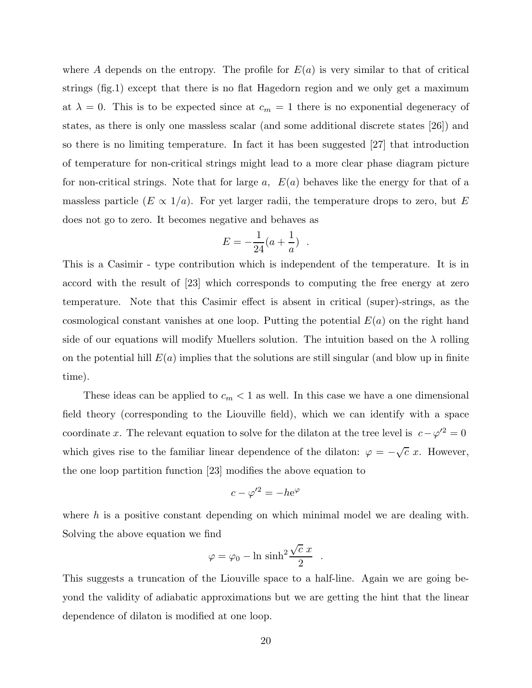where A depends on the entropy. The profile for  $E(a)$  is very similar to that of critical strings (fig.1) except that there is no flat Hagedorn region and we only get a maximum at  $\lambda = 0$ . This is to be expected since at  $c_m = 1$  there is no exponential degeneracy of states, as there is only one massless scalar (and some additional discrete states [26]) and so there is no limiting temperature. In fact it has been suggested [27] that introduction of temperature for non-critical strings might lead to a more clear phase diagram picture for non-critical strings. Note that for large a,  $E(a)$  behaves like the energy for that of a massless particle  $(E \propto 1/a)$ . For yet larger radii, the temperature drops to zero, but E does not go to zero. It becomes negative and behaves as

$$
E = -\frac{1}{24}(a + \frac{1}{a}) .
$$

This is a Casimir - type contribution which is independent of the temperature. It is in accord with the result of [23] which corresponds to computing the free energy at zero temperature. Note that this Casimir effect is absent in critical (super)-strings, as the cosmological constant vanishes at one loop. Putting the potential  $E(a)$  on the right hand side of our equations will modify Muellers solution. The intuition based on the  $\lambda$  rolling on the potential hill  $E(a)$  implies that the solutions are still singular (and blow up in finite time).

These ideas can be applied to  $c_m < 1$  as well. In this case we have a one dimensional field theory (corresponding to the Liouville field), which we can identify with a space coordinate x. The relevant equation to solve for the dilaton at the tree level is  $c - \varphi'^2 = 0$ which gives rise to the familiar linear dependence of the dilaton:  $\varphi = -\sqrt{c} x$ . However, the one loop partition function [23] modifies the above equation to

$$
c - \varphi'^2 = -h e^{\varphi}
$$

where h is a positive constant depending on which minimal model we are dealing with. Solving the above equation we find

$$
\varphi = \varphi_0 - \ln \sinh^2 \frac{\sqrt{c} x}{2} .
$$

This suggests a truncation of the Liouville space to a half-line. Again we are going beyond the validity of adiabatic approximations but we are getting the hint that the linear dependence of dilaton is modified at one loop.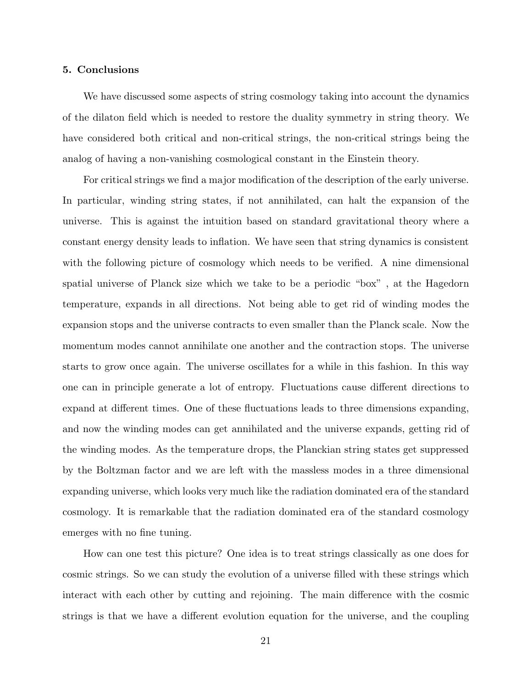#### 5. Conclusions

We have discussed some aspects of string cosmology taking into account the dynamics of the dilaton field which is needed to restore the duality symmetry in string theory. We have considered both critical and non-critical strings, the non-critical strings being the analog of having a non-vanishing cosmological constant in the Einstein theory.

For critical strings we find a major modification of the description of the early universe. In particular, winding string states, if not annihilated, can halt the expansion of the universe. This is against the intuition based on standard gravitational theory where a constant energy density leads to inflation. We have seen that string dynamics is consistent with the following picture of cosmology which needs to be verified. A nine dimensional spatial universe of Planck size which we take to be a periodic "box" , at the Hagedorn temperature, expands in all directions. Not being able to get rid of winding modes the expansion stops and the universe contracts to even smaller than the Planck scale. Now the momentum modes cannot annihilate one another and the contraction stops. The universe starts to grow once again. The universe oscillates for a while in this fashion. In this way one can in principle generate a lot of entropy. Fluctuations cause different directions to expand at different times. One of these fluctuations leads to three dimensions expanding, and now the winding modes can get annihilated and the universe expands, getting rid of the winding modes. As the temperature drops, the Planckian string states get suppressed by the Boltzman factor and we are left with the massless modes in a three dimensional expanding universe, which looks very much like the radiation dominated era of the standard cosmology. It is remarkable that the radiation dominated era of the standard cosmology emerges with no fine tuning.

How can one test this picture? One idea is to treat strings classically as one does for cosmic strings. So we can study the evolution of a universe filled with these strings which interact with each other by cutting and rejoining. The main difference with the cosmic strings is that we have a different evolution equation for the universe, and the coupling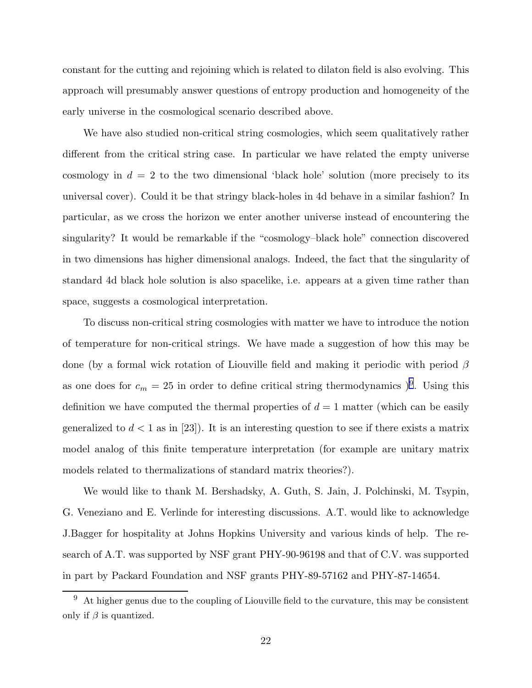constant for the cutting and rejoining which is related to dilaton field is also evolving. This approach will presumably answer questions of entropy production and homogeneity of the early universe in the cosmological scenario described above.

We have also studied non-critical string cosmologies, which seem qualitatively rather different from the critical string case. In particular we have related the empty universe cosmology in  $d = 2$  to the two dimensional 'black hole' solution (more precisely to its universal cover). Could it be that stringy black-holes in 4d behave in a similar fashion? In particular, as we cross the horizon we enter another universe instead of encountering the singularity? It would be remarkable if the "cosmology–black hole" connection discovered in two dimensions has higher dimensional analogs. Indeed, the fact that the singularity of standard 4d black hole solution is also spacelike, i.e. appears at a given time rather than space, suggests a cosmological interpretation.

To discuss non-critical string cosmologies with matter we have to introduce the notion of temperature for non-critical strings. We have made a suggestion of how this may be done (by a formal wick rotation of Liouville field and making it periodic with period  $\beta$ as one does for  $c_m = 25$  in order to define critical string thermodynamics  $)^9$ . Using this definition we have computed the thermal properties of  $d = 1$  matter (which can be easily generalized to  $d < 1$  as in [23]). It is an interesting question to see if there exists a matrix model analog of this finite temperature interpretation (for example are unitary matrix models related to thermalizations of standard matrix theories?).

We would like to thank M. Bershadsky, A. Guth, S. Jain, J. Polchinski, M. Tsypin, G. Veneziano and E. Verlinde for interesting discussions. A.T. would like to acknowledge J.Bagger for hospitality at Johns Hopkins University and various kinds of help. The research of A.T. was supported by NSF grant PHY-90-96198 and that of C.V. was supported in part by Packard Foundation and NSF grants PHY-89-57162 and PHY-87-14654.

 $9$  At higher genus due to the coupling of Liouville field to the curvature, this may be consistent only if  $\beta$  is quantized.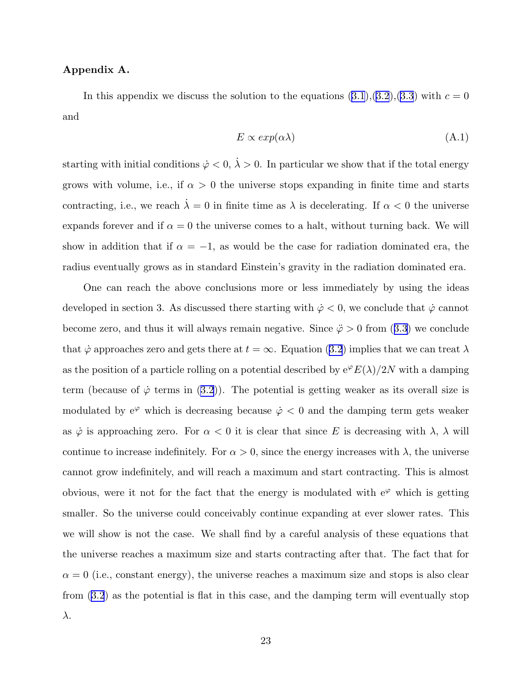#### Appendix A.

In this appendix we discuss the solution to the equations  $(3.1),(3.2),(3.3)$  $(3.1),(3.2),(3.3)$  $(3.1),(3.2),(3.3)$  $(3.1),(3.2),(3.3)$  $(3.1),(3.2),(3.3)$  $(3.1),(3.2),(3.3)$  $(3.1),(3.2),(3.3)$  with  $c=0$ and

$$
E \propto exp(\alpha \lambda) \tag{A.1}
$$

starting with initial conditions  $\dot{\varphi} < 0$ ,  $\dot{\lambda} > 0$ . In particular we show that if the total energy grows with volume, i.e., if  $\alpha > 0$  the universe stops expanding in finite time and starts contracting, i.e., we reach  $\lambda = 0$  in finite time as  $\lambda$  is decelerating. If  $\alpha < 0$  the universe expands forever and if  $\alpha = 0$  the universe comes to a halt, without turning back. We will show in addition that if  $\alpha = -1$ , as would be the case for radiation dominated era, the radius eventually grows as in standard Einstein's gravity in the radiation dominated era.

One can reach the above conclusions more or less immediately by using the ideas developed in section 3. As discussed there starting with  $\dot{\varphi} < 0$ , we conclude that  $\dot{\varphi}$  cannot become zero, and thus it will always remain negative. Since  $\ddot{\varphi} > 0$  from ([3.3\)](#page-11-0) we conclude that  $\dot{\varphi}$  approaches zero and gets there at  $t = \infty$ . Equation ([3.2](#page-11-0)) implies that we can treat  $\lambda$ as the position of a particle rolling on a potential described by  $e^{\varphi} E(\lambda)/2N$  with a damping term (because of  $\dot{\varphi}$  terms in ([3.2](#page-11-0))). The potential is getting weaker as its overall size is modulated by  $e^{\varphi}$  which is decreasing because  $\dot{\varphi} < 0$  and the damping term gets weaker as  $\dot{\varphi}$  is approaching zero. For  $\alpha < 0$  it is clear that since E is decreasing with  $\lambda$ ,  $\lambda$  will continue to increase indefinitely. For  $\alpha > 0$ , since the energy increases with  $\lambda$ , the universe cannot grow indefinitely, and will reach a maximum and start contracting. This is almost obvious, were it not for the fact that the energy is modulated with  $e^{\varphi}$  which is getting smaller. So the universe could conceivably continue expanding at ever slower rates. This we will show is not the case. We shall find by a careful analysis of these equations that the universe reaches a maximum size and starts contracting after that. The fact that for  $\alpha = 0$  (i.e., constant energy), the universe reaches a maximum size and stops is also clear from [\(3.2](#page-11-0)) as the potential is flat in this case, and the damping term will eventually stop λ.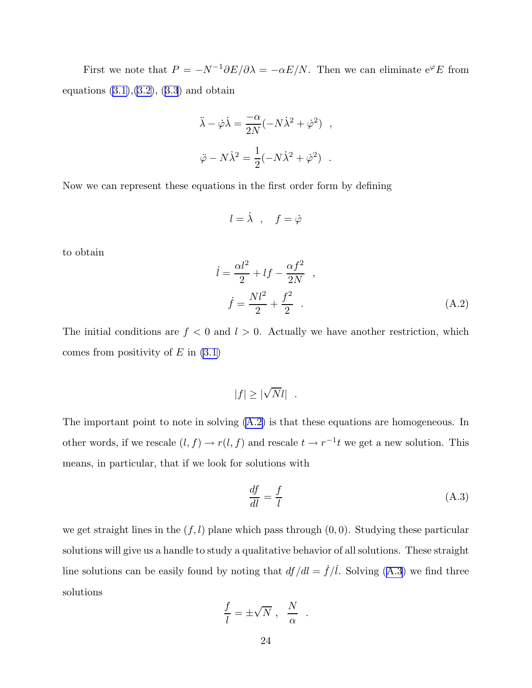First we note that  $P = -N^{-1}\partial E/\partial \lambda = -\alpha E/N$ . Then we can eliminate e<sup> $\varphi$ </sup>E from equations  $(3.1), (3.2), (3.3)$  $(3.1), (3.2), (3.3)$  $(3.1), (3.2), (3.3)$  $(3.1), (3.2), (3.3)$  $(3.1), (3.2), (3.3)$  $(3.1), (3.2), (3.3)$  and obtain

$$
\ddot{\lambda} - \dot{\varphi}\dot{\lambda} = \frac{-\alpha}{2N}(-N\dot{\lambda}^2 + \dot{\varphi}^2) ,
$$
  

$$
\ddot{\varphi} - N\dot{\lambda}^2 = \frac{1}{2}(-N\dot{\lambda}^2 + \dot{\varphi}^2) .
$$

Now we can represent these equations in the first order form by defining

$$
l = \dot{\lambda} , f = \dot{\varphi}
$$

to obtain

$$
\dot{l} = \frac{\alpha l^2}{2} + l f - \frac{\alpha f^2}{2N} ,
$$
  

$$
\dot{f} = \frac{N l^2}{2} + \frac{f^2}{2} .
$$
 (A.2)

The initial conditions are  $f < 0$  and  $l > 0$ . Actually we have another restriction, which comes from positivity of  $E$  in  $(3.1)$ 

$$
|f| \ge |\sqrt{N}l| \quad .
$$

The important point to note in solving (A.2) is that these equations are homogeneous. In other words, if we rescale  $(l, f) \rightarrow r(l, f)$  and rescale  $t \rightarrow r^{-1}t$  we get a new solution. This means, in particular, that if we look for solutions with

$$
\frac{df}{dl} = \frac{f}{l} \tag{A.3}
$$

we get straight lines in the  $(f, l)$  plane which pass through  $(0, 0)$ . Studying these particular solutions will give us a handle to study a qualitative behavior of all solutions. These straight line solutions can be easily found by noting that  $df/dl = \dot{f}/l$ . Solving (A.3) we find three solutions

$$
\frac{f}{l} = \pm \sqrt{N} \; , \; \; \frac{N}{\alpha}
$$

.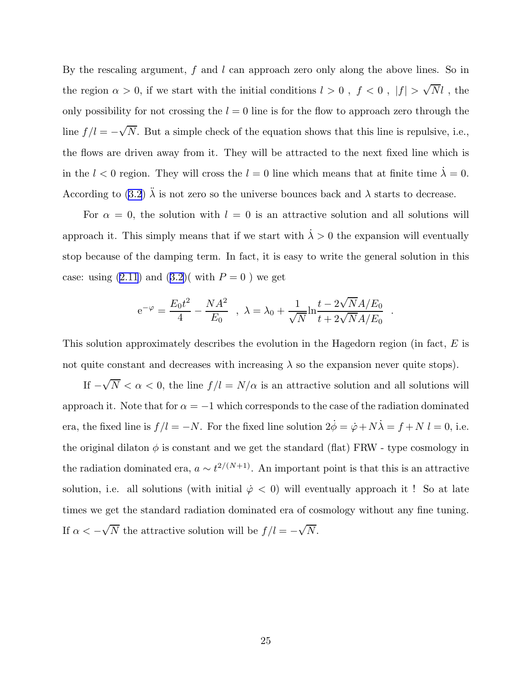By the rescaling argument, f and l can approach zero only along the above lines. So in the region  $\alpha > 0$ , if we start with the initial conditions  $l > 0$ ,  $f < 0$ ,  $|f| > \sqrt{N}l$ , the only possibility for not crossing the  $l = 0$  line is for the flow to approach zero through the line  $f/l = -\sqrt{N}$ . But a simple check of the equation shows that this line is repulsive, i.e., the flows are driven away from it. They will be attracted to the next fixed line which is in the  $l < 0$  region. They will cross the  $l = 0$  line which means that at finite time  $\dot{\lambda} = 0$ . According to [\(3.2](#page-11-0))  $\ddot{\lambda}$  is not zero so the universe bounces back and  $\lambda$  starts to decrease.

For  $\alpha = 0$ , the solution with  $l = 0$  is an attractive solution and all solutions will approach it. This simply means that if we start with  $\lambda > 0$  the expansion will eventually stop because of the damping term. In fact, it is easy to write the general solution in this case: using  $(2.11)$  $(2.11)$  $(2.11)$  and  $(3.2)$  $(3.2)$  $(3.2)$  (with  $P=0$ ) we get

$$
e^{-\varphi} = \frac{E_0 t^2}{4} - \frac{NA^2}{E_0}
$$
,  $\lambda = \lambda_0 + \frac{1}{\sqrt{N}} \ln \frac{t - 2\sqrt{N}A/E_0}{t + 2\sqrt{N}A/E_0}$ 

.

This solution approximately describes the evolution in the Hagedorn region (in fact, E is not quite constant and decreases with increasing  $\lambda$  so the expansion never quite stops).

If  $-\sqrt{N} < \alpha < 0$ , the line  $f/l = N/\alpha$  is an attractive solution and all solutions will approach it. Note that for  $\alpha = -1$  which corresponds to the case of the radiation dominated era, the fixed line is  $f/l = -N$ . For the fixed line solution  $2\dot{\phi} = \dot{\varphi} + N\dot{\lambda} = f + N l = 0$ , i.e. the original dilaton  $\phi$  is constant and we get the standard (flat) FRW - type cosmology in the radiation dominated era,  $a \sim t^{2/(N+1)}$ . An important point is that this is an attractive solution, i.e. all solutions (with initial  $\dot{\varphi}$  < 0) will eventually approach it ! So at late times we get the standard radiation dominated era of cosmology without any fine tuning. If  $\alpha < -\sqrt{N}$  the attractive solution will be  $f/l = -\sqrt{N}$ .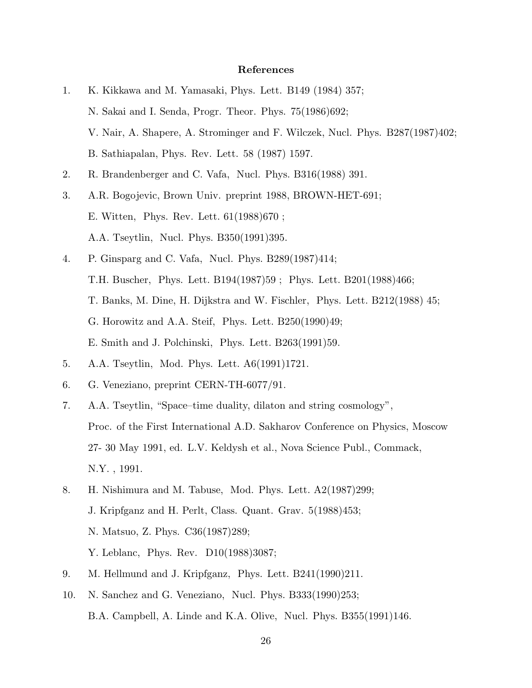#### References

- 1. K. Kikkawa and M. Yamasaki, Phys. Lett. B149 (1984) 357; N. Sakai and I. Senda, Progr. Theor. Phys. 75(1986)692; V. Nair, A. Shapere, A. Strominger and F. Wilczek, Nucl. Phys. B287(1987)402; B. Sathiapalan, Phys. Rev. Lett. 58 (1987) 1597.
- 2. R. Brandenberger and C. Vafa, Nucl. Phys. B316(1988) 391.
- 3. A.R. Bogojevic, Brown Univ. preprint 1988, BROWN-HET-691; E. Witten, Phys. Rev. Lett. 61(1988)670 ; A.A. Tseytlin, Nucl. Phys. B350(1991)395.
- 4. P. Ginsparg and C. Vafa, Nucl. Phys. B289(1987)414; T.H. Buscher, Phys. Lett. B194(1987)59 ; Phys. Lett. B201(1988)466; T. Banks, M. Dine, H. Dijkstra and W. Fischler, Phys. Lett. B212(1988) 45; G. Horowitz and A.A. Steif, Phys. Lett. B250(1990)49; E. Smith and J. Polchinski, Phys. Lett. B263(1991)59.
- 5. A.A. Tseytlin, Mod. Phys. Lett. A6(1991)1721.
- 6. G. Veneziano, preprint CERN-TH-6077/91.
- 7. A.A. Tseytlin, "Space–time duality, dilaton and string cosmology", Proc. of the First International A.D. Sakharov Conference on Physics, Moscow 27- 30 May 1991, ed. L.V. Keldysh et al., Nova Science Publ., Commack, N.Y. , 1991.
- 8. H. Nishimura and M. Tabuse, Mod. Phys. Lett. A2(1987)299; J. Kripfganz and H. Perlt, Class. Quant. Grav. 5(1988)453; N. Matsuo, Z. Phys. C36(1987)289; Y. Leblanc, Phys. Rev. D10(1988)3087;
- 9. M. Hellmund and J. Kripfganz, Phys. Lett. B241(1990)211.
- 10. N. Sanchez and G. Veneziano, Nucl. Phys. B333(1990)253; B.A. Campbell, A. Linde and K.A. Olive, Nucl. Phys. B355(1991)146.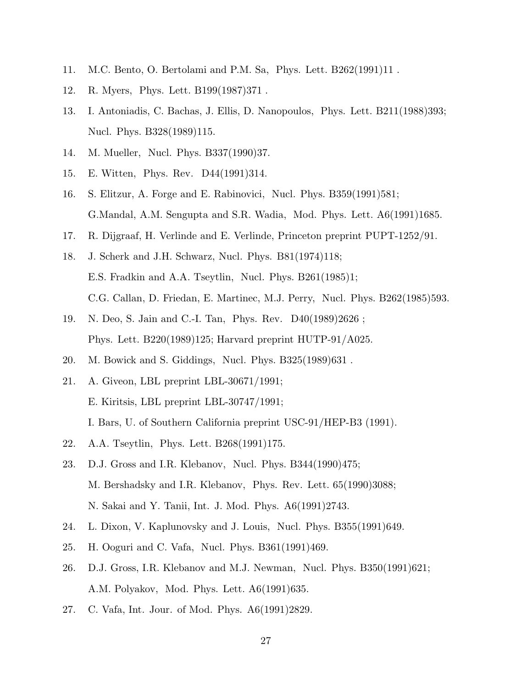- 11. M.C. Bento, O. Bertolami and P.M. Sa, Phys. Lett. B262(1991)11 .
- 12. R. Myers, Phys. Lett. B199(1987)371 .
- 13. I. Antoniadis, C. Bachas, J. Ellis, D. Nanopoulos, Phys. Lett. B211(1988)393; Nucl. Phys. B328(1989)115.
- 14. M. Mueller, Nucl. Phys. B337(1990)37.
- 15. E. Witten, Phys. Rev. D44(1991)314.
- 16. S. Elitzur, A. Forge and E. Rabinovici, Nucl. Phys. B359(1991)581; G.Mandal, A.M. Sengupta and S.R. Wadia, Mod. Phys. Lett. A6(1991)1685.
- 17. R. Dijgraaf, H. Verlinde and E. Verlinde, Princeton preprint PUPT-1252/91.
- 18. J. Scherk and J.H. Schwarz, Nucl. Phys. B81(1974)118; E.S. Fradkin and A.A. Tseytlin, Nucl. Phys. B261(1985)1; C.G. Callan, D. Friedan, E. Martinec, M.J. Perry, Nucl. Phys. B262(1985)593.
- 19. N. Deo, S. Jain and C.-I. Tan, Phys. Rev. D40(1989)2626 ; Phys. Lett. B220(1989)125; Harvard preprint HUTP-91/A025.
- 20. M. Bowick and S. Giddings, Nucl. Phys. B325(1989)631 .
- 21. A. Giveon, LBL preprint LBL-30671/1991; E. Kiritsis, LBL preprint LBL-30747/1991; I. Bars, U. of Southern California preprint USC-91/HEP-B3 (1991).
- 22. A.A. Tseytlin, Phys. Lett. B268(1991)175.
- 23. D.J. Gross and I.R. Klebanov, Nucl. Phys. B344(1990)475; M. Bershadsky and I.R. Klebanov, Phys. Rev. Lett. 65(1990)3088; N. Sakai and Y. Tanii, Int. J. Mod. Phys. A6(1991)2743.
- 24. L. Dixon, V. Kaplunovsky and J. Louis, Nucl. Phys. B355(1991)649.
- 25. H. Ooguri and C. Vafa, Nucl. Phys. B361(1991)469.
- 26. D.J. Gross, I.R. Klebanov and M.J. Newman, Nucl. Phys. B350(1991)621; A.M. Polyakov, Mod. Phys. Lett. A6(1991)635.
- 27. C. Vafa, Int. Jour. of Mod. Phys. A6(1991)2829.